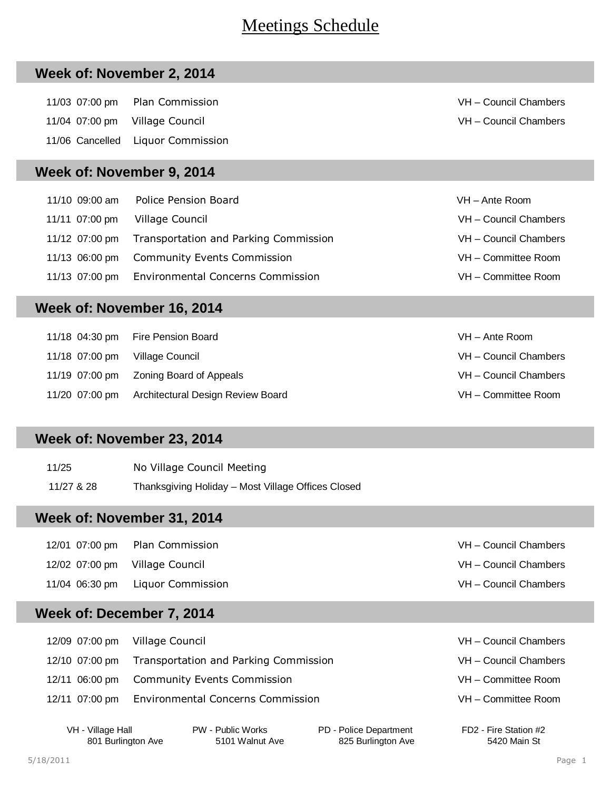# Meetings Schedule

#### **Week of: November 2, 2014**

 11/03 07:00 pm Plan Commission VH – Council Chambers 11/04 07:00 pm Village Council VH – Council Chambers 11/06 Cancelled Liquor Commission

#### **Week of: November 9, 2014**

| 11/10 09:00 am | Police Pension Board                                 | VH - Ante Room        |
|----------------|------------------------------------------------------|-----------------------|
| 11/11 07:00 pm | Village Council                                      | VH - Council Chambers |
|                | 11/12 07:00 pm Transportation and Parking Commission | VH - Council Chambers |
|                | 11/13 06:00 pm Community Events Commission           | VH - Committee Room   |
|                | 11/13 07:00 pm Environmental Concerns Commission     | VH - Committee Room   |

## **Week of: November 16, 2014**

|                                | 11/18 04:30 pm Fire Pension Board                | VH – Ante Room        |
|--------------------------------|--------------------------------------------------|-----------------------|
| 11/18 07:00 pm Village Council |                                                  | VH - Council Chambers |
|                                |                                                  | VH - Council Chambers |
|                                | 11/20 07:00 pm Architectural Design Review Board | VH - Committee Room   |

#### **Week of: November 23, 2014**

| 11/25      | No Village Council Meeting                         |
|------------|----------------------------------------------------|
| 11/27 & 28 | Thanksgiving Holiday - Most Village Offices Closed |

#### **Week of: November 31, 2014**

|  | 12/01 07:00 pm Plan Commission   | VH - Council Chambers |
|--|----------------------------------|-----------------------|
|  | 12/02 07:00 pm Village Council   | VH - Council Chambers |
|  | 11/04 06:30 pm Liquor Commission | VH - Council Chambers |

## **Week of: December 7, 2014**

| 12/09 07:00 pm Village Council |                                                      | VH - Council Chambers |
|--------------------------------|------------------------------------------------------|-----------------------|
|                                | 12/10 07:00 pm Transportation and Parking Commission | VH - Council Chambers |
|                                | 12/11 06:00 pm Community Events Commission           | VH - Committee Room   |
|                                | 12/11 07:00 pm Environmental Concerns Commission     | VH - Committee Room   |
|                                |                                                      |                       |

VH - Village Hall PW - Public Works PD - Police Department FD2 - Fire Station #2 801 Burlington Ave 5101 Walnut Ave 525 Burlington Ave 5420 Main St